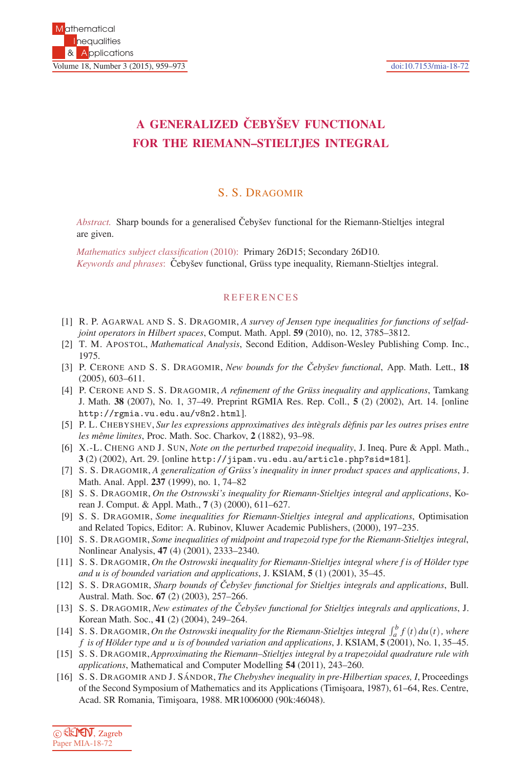## **A GENERALIZED CEBY ˇ SEV FUNCTIONAL ˇ FOR THE RIEMANN–STIELTJES INTEGRAL**

## S. S. DRAGOMIR

*Abstract.* Sharp bounds for a generalised Čebyšev functional for the Riemann-Stieltjes integral are given.

*Mathematics subject classification* (2010): Primary 26D15; Secondary 26D10. *Keywords and phrases*: Čebyšev functional, Grüss type inequality, Riemann-Stieltjes integral.

## **REFERENCES**

- [1] R. P. AGARWAL AND S. S. DRAGOMIR, *A survey of Jensen type inequalities for functions of selfadjoint operators in Hilbert spaces*, Comput. Math. Appl. **59** (2010), no. 12, 3785–3812.
- [2] T. M. APOSTOL, *Mathematical Analysis*, Second Edition, Addison-Wesley Publishing Comp. Inc., 1975.
- [3] P. CERONE AND S. S. DRAGOMIR, *New bounds for the Ceby ˇ sev functional ˇ* , App. Math. Lett., **18** (2005), 603–611.
- [4] P. CERONE AND S. S. DRAGOMIR, *A refinement of the Grüss inequality and applications*, Tamkang J. Math. **38** (2007), No. 1, 37–49. Preprint RGMIA Res. Rep. Coll., **5** (2) (2002), Art. 14. [online http://rgmia.vu.edu.au/v8n2.html].
- [5] P. L. CHEBYSHEV, *Sur les expressions approximatives des intègrals dèfinis par les outres prises entre les mˆeme limites*, Proc. Math. Soc. Charkov, **2** (1882), 93–98.
- [6] X.-L. CHENG AND J. SUN, *Note on the perturbed trapezoid inequality*, J. Ineq. Pure & Appl. Math., **3** (2) (2002), Art. 29. [online http://jipam.vu.edu.au/article.php?sid=181].
- [7] S. S. DRAGOMIR, *A generalization of Grüss's inequality in inner product spaces and applications*, J. Math. Anal. Appl. **237** (1999), no. 1, 74–82
- [8] S. S. DRAGOMIR, *On the Ostrowski's inequality for Riemann-Stieltjes integral and applications*, Korean J. Comput. & Appl. Math., **7** (3) (2000), 611–627.
- [9] S. S. DRAGOMIR, *Some inequalities for Riemann-Stieltjes integral and applications*, Optimisation and Related Topics, Editor: A. Rubinov, Kluwer Academic Publishers, (2000), 197–235.
- [10] S. S. DRAGOMIR, *Some inequalities of midpoint and trapezoid type for the Riemann-Stieltjes integral*, Nonlinear Analysis, **47** (4) (2001), 2333–2340.
- [11] S. S. DRAGOMIR, *On the Ostrowski inequality for Riemann-Stieltjes integral where f is of Hölder type and u is of bounded variation and applications*, J. KSIAM, **5** (1) (2001), 35–45.
- [12] S. S. DRAGOMIR, *Sharp bounds of Ceby ˇ sev functional for Stieltjes integrals and applications ˇ* , Bull. Austral. Math. Soc. **67** (2) (2003), 257–266.
- [13] S. S. DRAGOMIR, *New estimates of the Ceby ˇ sev functional for Stieltjes integrals and applications ˇ* , J. Korean Math. Soc., **41** (2) (2004), 249–264.
- [14] S. S. DRAGOMIR, *On the Ostrowski inequality for the Riemann-Stieltjes integral*  $\int_a^b f(t) du(t)$ , where *f is of H¨older type and u is of bounded variation and applications*, J. KSIAM, **5** (2001), No. 1, 35–45.
- [15] S. S. DRAGOMIR,*Approximating the Riemann–Stieltjes integral by a trapezoidal quadrature rule with applications*, Mathematical and Computer Modelling **54** (2011), 243–260.
- [16] S. S. DRAGOMIR AND J. SÁNDOR, *The Chebyshev inequality in pre-Hilbertian spaces, I*, Proceedings of the Second Symposium of Mathematics and its Applications (Timisoara, 1987), 61–64, Res. Centre, Acad. SR Romania, Timişoara, 1988. MR1006000 (90k:46048).